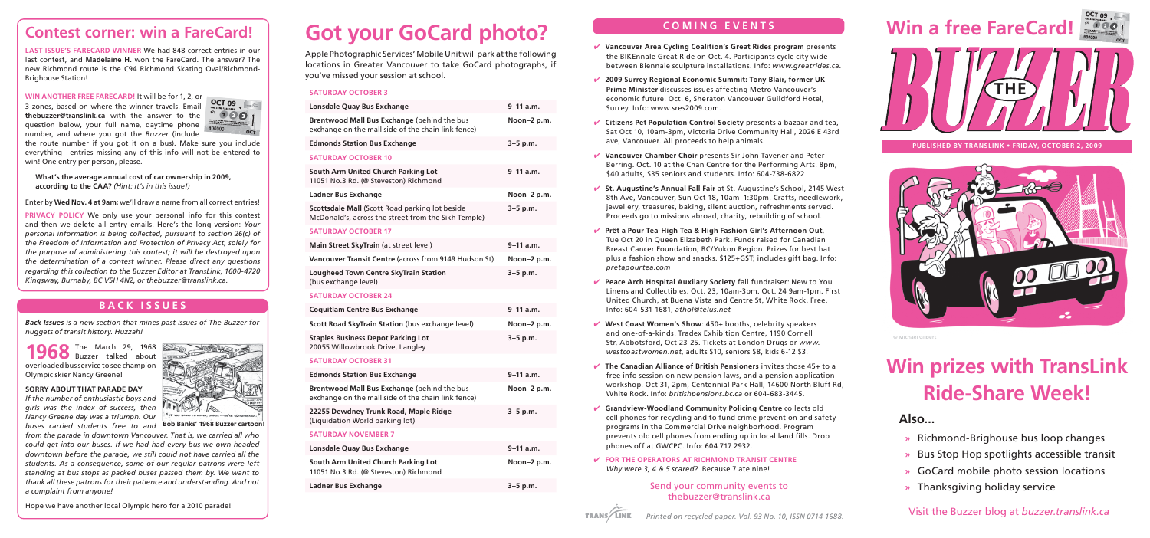## **Contest corner: win a FareCard!**

**LAST ISSUE'S FARECARD WINNER** We had 848 correct entries in our last contest, and **Madelaine H.** won the FareCard. The answer? The new Richmond route is the C94 Richmond Skating Oval/Richmond-Brighouse Station!

**WIN ANOTHER FREE FARECARD!** It will be for 1, 2, or 3 zones, based on where the winner travels. Email **thebuzzer@translink.ca** with the answer to the question below**,** your full name, daytime phone number, and where you got the *Buzzer* (include



the route number if you got it on a bus). Make sure you include everything—entries missing any of this info will not be entered to win! One entry per person, please.

**What's the average annual cost of car ownership in 2009, according to the CAA?** *(Hint: it's in this issue!)*

Enter by **Wed Nov. 4 at 9am;** we'll draw a name from all correct entries!

**PRIVACY POLICY** We only use your personal info for this contest and then we delete all entry emails. Here's the long version: *Your personal information is being collected, pursuant to section 26(c) of the Freedom of Information and Protection of Privacy Act, solely for the purpose of administering this contest; it will be destroyed upon the determination of a contest winner. Please direct any questions regarding this collection to the Buzzer Editor at TransLink, 1600-4720 Kingsway, Burnaby, BC V5H 4N2, or thebuzzer@translink.ca.*

### **BACK ISSUES**

*Back Issues is a new section that mines past issues of The Buzzer for nuggets of transit history. Huzzah!*

**1968** The March 29, 1968 overloaded bus service to see champion Olympic skier Nancy Greene!

#### **SORRY ABOUT THAT PARADE DAY** *If the number of enthusiastic boys and*

**Tale** *girls was the index of success, then Nancy Greene day was a triumph. Our* 

*buses carried students free to and from the parade in downtown Vancouver. That is, we carried all who could get into our buses. If we had had every bus we own headed downtown before the parade, we still could not have carried all the students. As a consequence, some of our regular patrons were left standing at bus stops as packed buses passed them by. We want to thank all these patrons for their patience and understanding. And not a complaint from anyone!* **Bob Banks' 1968 Buzzer cartoon!**

#### Hope we have another local Olympic hero for a 2010 parade!

# **Got your GoCard photo?**

Apple Photographic Services' Mobile Unit will park at the following locations in Greater Vancouver to take GoCard photographs, if you've missed your session at school.

#### **SATURDAY OCTOBER 3**

| Lonsdale Quay Bus Exchange                                                                               | $9 - 11$ a.m. |
|----------------------------------------------------------------------------------------------------------|---------------|
| <b>Brentwood Mall Bus Exchange (behind the bus</b><br>exchange on the mall side of the chain link fence) | Noon-2 p.m.   |
| <b>Edmonds Station Bus Exchange</b>                                                                      | $3 - 5$ p.m.  |
| <b>SATURDAY OCTOBER 10</b>                                                                               |               |
| South Arm United Church Parking Lot<br>11051 No.3 Rd. (@ Steveston) Richmond                             | $9 - 11$ a.m. |
| Ladner Bus Exchange                                                                                      | Noon-2 p.m.   |
| Scottsdale Mall (Scott Road parking lot beside<br>McDonald's, across the street from the Sikh Temple)    | $3 - 5$ p.m.  |
|                                                                                                          |               |

#### **SATURDAY OCTOBER 17**

| Main Street SkyTrain (at street level)                        | $9 - 11$ a.m. |
|---------------------------------------------------------------|---------------|
| Vancouver Transit Centre (across from 9149 Hudson St)         | Noon-2 p.m.   |
| Lougheed Town Centre SkyTrain Station<br>(bus exchange level) | $3 - 5$ p.m.  |

#### **SATURDAY OCTOBER 24**

| <b>Coquitlam Centre Bus Exchange</b>                                          | $9 - 11$ a.m. |
|-------------------------------------------------------------------------------|---------------|
| Scott Road SkyTrain Station (bus exchange level)                              | Noon-2 p.m.   |
| <b>Staples Business Depot Parking Lot</b><br>20055 Willowbrook Drive, Langley | $3 - 5$ p.m.  |

#### **SATURDAY OCTOBER 31**

| <b>Edmonds Station Bus Exchange</b>                                                               | $9-11$ a.m.   |
|---------------------------------------------------------------------------------------------------|---------------|
| Brentwood Mall Bus Exchange (behind the bus<br>exchange on the mall side of the chain link fence) | Noon-2 p.m.   |
| 22255 Dewdney Trunk Road, Maple Ridge<br>(Liquidation World parking lot)                          | $3 - 5$ p.m.  |
| <b>SATURDAY NOVEMBER 7</b>                                                                        |               |
| Lonsdale Quay Bus Exchange                                                                        | $9 - 11$ a.m. |
| South Arm United Church Parking Lot<br>11051 No.3 Rd. (@ Steveston) Richmond                      | Noon-2 p.m.   |

### **COMING EVENTS**

- ✔ **Vancouver Area Cycling Coalition's Great Rides program** presents the BIKEnnale Great Ride on Oct. 4. Participants cycle city wide between Biennale sculpture installations. Info: *www.greatrides.ca*.
- ✔ **2009 Surrey Regional Economic Summit: Tony Blair, former UK Prime Minister** discusses issues affecting Metro Vancouver's economic future. Oct. 6, Sheraton Vancouver Guildford Hotel, Surrey. Info: www.sres2009.com.
- ✔ **Citizens Pet Population Control Society** presents a bazaar and tea, Sat Oct 10, 10am-3pm, Victoria Drive Community Hall, 2026 E 43rd ave, Vancouver. All proceeds to help animals.
- ✔ **Vancouver Chamber Choir** presents Sir John Tavener and Peter Berring. Oct. 10 at the Chan Centre for the Performing Arts. 8pm, \$40 adults, \$35 seniors and students. Info: 604-738-6822
- ✔ **St. Augustine's Annual Fall Fair** at St. Augustine's School, 2145 West 8th Ave, Vancouver, Sun Oct 18, 10am–1:30pm. Crafts, needlework, jewellery, treasures, baking, silent auction, refreshments served. Proceeds go to missions abroad, charity, rebuilding of school.
- ✔ **Prêt a Pour Tea-High Tea & High Fashion Girl's Afternoon Out**, Tue Oct 20 in Queen Elizabeth Park. Funds raised for Canadian Breast Cancer Foundation, BC/Yukon Region. Prizes for best hat plus a fashion show and snacks. \$125+GST; includes gift bag. Info: *pretapourtea.com*
- ✔ **Peace Arch Hospital Auxilary Society** fall fundraiser: New to You Linens and Collectibles. Oct. 23, 10am-3pm. Oct. 24 9am-1pm. First United Church, at Buena Vista and Centre St, White Rock. Free. Info: 604-531-1681, *athol@telus.net*
- ✔ **West Coast Women's Show**: 450+ booths, celebrity speakers and one-of-a-kinds. Tradex Exhibition Centre, 1190 Cornell Str, Abbotsford, Oct 23-25. Tickets at London Drugs or *www. westcoastwomen.net*, adults \$10, seniors \$8, kids 6-12 \$3.
- ✔ **The Canadian Alliance of British Pensioners** invites those 45+ to a free info session on new pension laws, and a pension application workshop. Oct 31, 2pm, Centennial Park Hall, 14600 North Bluff Rd, White Rock. Info: *britishpensions.bc.ca* or 604-683-3445.
- ✔ **Grandview-Woodland Community Policing Centre** collects old cell phones for recycling and to fund crime prevention and safety programs in the Commercial Drive neighborhood. Program prevents old cell phones from ending up in local land fills. Drop phones off at GWCPC. Info: 604 717 2932.
- ✔ **FOR THE OPERATORS AT RICHMOND TRANSIT CENTRE** *Why were 3, 4 & 5 scared?* Because 7 ate nine!

#### Send your community events to thebuzzer@translink.ca







**PUBLISHED BY TRANSLINK • FRIDAY, OCTOBER 2, 2009**



© Michael Gilbert

# **Win prizes with TransLink Ride-Share Week!**

### **Also...**

- **»** Richmond-Brighouse bus loop changes
- **»** Bus Stop Hop spotlights accessible transit
- **»** GoCard mobile photo session locations
- **»** Thanksgiving holiday service

Visit the Buzzer blog at *buzzer.translink.ca*